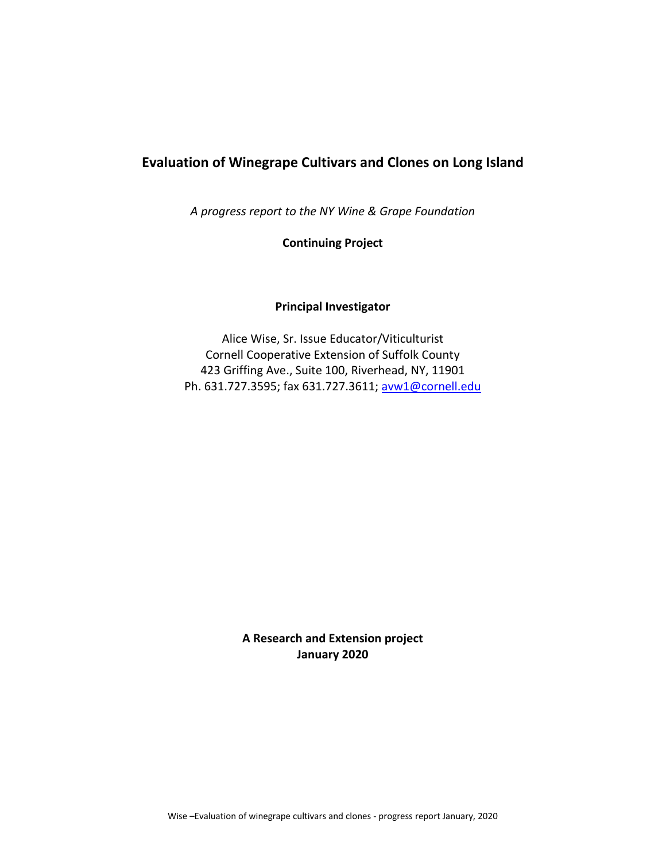## **Evaluation of Winegrape Cultivars and Clones on Long Island**

*A progress report to the NY Wine & Grape Foundation*

**Continuing Project**

## **Principal Investigator**

Alice Wise, Sr. Issue Educator/Viticulturist Cornell Cooperative Extension of Suffolk County 423 Griffing Ave., Suite 100, Riverhead, NY, 11901 Ph. 631.727.3595; fax 631.727.3611; [avw1@cornell.edu](mailto:avw1@cornell.edu)

> **A Research and Extension project January 2020**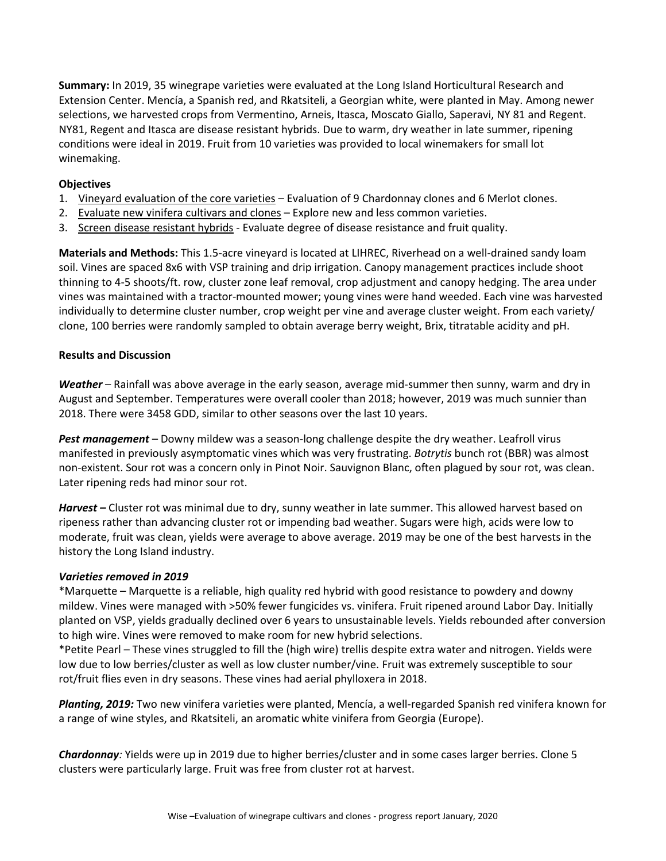**Summary:** In 2019, 35 winegrape varieties were evaluated at the Long Island Horticultural Research and Extension Center. Mencía, a Spanish red, and Rkatsiteli, a Georgian white, were planted in May. Among newer selections, we harvested crops from Vermentino, Arneis, Itasca, Moscato Giallo, Saperavi, NY 81 and Regent. NY81, Regent and Itasca are disease resistant hybrids. Due to warm, dry weather in late summer, ripening conditions were ideal in 2019. Fruit from 10 varieties was provided to local winemakers for small lot winemaking.

### **Objectives**

- 1. Vineyard evaluation of the core varieties Evaluation of 9 Chardonnay clones and 6 Merlot clones.
- 2. Evaluate new vinifera cultivars and clones Explore new and less common varieties.
- 3. Screen disease resistant hybrids Evaluate degree of disease resistance and fruit quality.

**Materials and Methods:** This 1.5-acre vineyard is located at LIHREC, Riverhead on a well-drained sandy loam soil. Vines are spaced 8x6 with VSP training and drip irrigation. Canopy management practices include shoot thinning to 4-5 shoots/ft. row, cluster zone leaf removal, crop adjustment and canopy hedging. The area under vines was maintained with a tractor-mounted mower; young vines were hand weeded. Each vine was harvested individually to determine cluster number, crop weight per vine and average cluster weight. From each variety/ clone, 100 berries were randomly sampled to obtain average berry weight, Brix, titratable acidity and pH.

## **Results and Discussion**

*Weather* – Rainfall was above average in the early season, average mid-summer then sunny, warm and dry in August and September. Temperatures were overall cooler than 2018; however, 2019 was much sunnier than 2018. There were 3458 GDD, similar to other seasons over the last 10 years.

*Pest management* – Downy mildew was a season-long challenge despite the dry weather. Leafroll virus manifested in previously asymptomatic vines which was very frustrating. *Botrytis* bunch rot (BBR) was almost non-existent. Sour rot was a concern only in Pinot Noir. Sauvignon Blanc, often plagued by sour rot, was clean. Later ripening reds had minor sour rot.

*Harvest –* Cluster rot was minimal due to dry, sunny weather in late summer. This allowed harvest based on ripeness rather than advancing cluster rot or impending bad weather. Sugars were high, acids were low to moderate, fruit was clean, yields were average to above average. 2019 may be one of the best harvests in the history the Long Island industry.

#### *Varieties removed in 2019*

\*Marquette – Marquette is a reliable, high quality red hybrid with good resistance to powdery and downy mildew. Vines were managed with >50% fewer fungicides vs. vinifera. Fruit ripened around Labor Day. Initially planted on VSP, yields gradually declined over 6 years to unsustainable levels. Yields rebounded after conversion to high wire. Vines were removed to make room for new hybrid selections.

\*Petite Pearl – These vines struggled to fill the (high wire) trellis despite extra water and nitrogen. Yields were low due to low berries/cluster as well as low cluster number/vine. Fruit was extremely susceptible to sour rot/fruit flies even in dry seasons. These vines had aerial phylloxera in 2018.

*Planting, 2019:* Two new vinifera varieties were planted, Mencía, a well-regarded Spanish red vinifera known for a range of wine styles, and Rkatsiteli, an aromatic white vinifera from Georgia (Europe).

*Chardonnay:* Yields were up in 2019 due to higher berries/cluster and in some cases larger berries. Clone 5 clusters were particularly large. Fruit was free from cluster rot at harvest.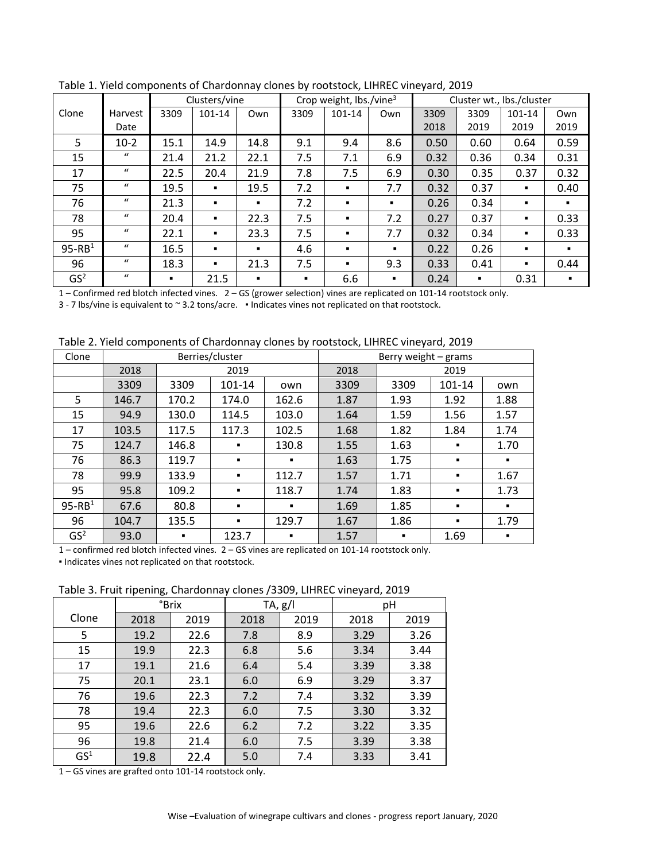|                 |                  |      | Clusters/vine  |                |      | Crop weight, $\frac{1}{2}$ lbs./vine <sup>3</sup> |                |      |      | Cluster wt., lbs./cluster |                |
|-----------------|------------------|------|----------------|----------------|------|---------------------------------------------------|----------------|------|------|---------------------------|----------------|
| Clone           | Harvest          | 3309 | 101-14         | Own            | 3309 | 101-14                                            | Own            | 3309 | 3309 | 101-14                    | Own            |
|                 | Date             |      |                |                |      |                                                   |                | 2018 | 2019 | 2019                      | 2019           |
| 5               | $10-2$           | 15.1 | 14.9           | 14.8           | 9.1  | 9.4                                               | 8.6            | 0.50 | 0.60 | 0.64                      | 0.59           |
| 15              | $\bf{u}$         | 21.4 | 21.2           | 22.1           | 7.5  | 7.1                                               | 6.9            | 0.32 | 0.36 | 0.34                      | 0.31           |
| 17              | $\mathbf{u}$     | 22.5 | 20.4           | 21.9           | 7.8  | 7.5                                               | 6.9            | 0.30 | 0.35 | 0.37                      | 0.32           |
| 75              | $\mathbf{u}$     | 19.5 |                | 19.5           | 7.2  |                                                   | 7.7            | 0.32 | 0.37 | ٠                         | 0.40           |
| 76              | $\mathbf{u}$     | 21.3 | $\blacksquare$ | $\blacksquare$ | 7.2  | $\blacksquare$                                    | ٠.             | 0.26 | 0.34 |                           | $\blacksquare$ |
| 78              | $\mathbf{u}$     | 20.4 | $\blacksquare$ | 22.3           | 7.5  | $\blacksquare$                                    | 7.2            | 0.27 | 0.37 | ٠                         | 0.33           |
| 95              | $\mathbf{u}$     | 22.1 |                | 23.3           | 7.5  |                                                   | 7.7            | 0.32 | 0.34 | ٠                         | 0.33           |
| $95-RB1$        | $\mathbf{u}$     | 16.5 | $\blacksquare$ | $\blacksquare$ | 4.6  | $\blacksquare$                                    | $\blacksquare$ | 0.22 | 0.26 | ٠                         | $\blacksquare$ |
| 96              | $\mathbf{u}$     | 18.3 |                | 21.3           | 7.5  |                                                   | 9.3            | 0.33 | 0.41 | ٠                         | 0.44           |
| GS <sup>2</sup> | $\boldsymbol{u}$ | ٠    | 21.5           |                | п.   | 6.6                                               | п.             | 0.24 | п.   | 0.31                      |                |

Table 1. Yield components of Chardonnay clones by rootstock, LIHREC vineyard, 2019

– Confirmed red blotch infected vines. 2 – GS (grower selection) vines are replicated on 101-14 rootstock only.

3 - 7 lbs/vine is equivalent to ~ 3.2 tons/acre. · Indicates vines not replicated on that rootstock.

Table 2. Yield components of Chardonnay clones by rootstock, LIHREC vineyard, 2019

| Clone           |       |                | Berries/cluster |                |      | Berry weight - grams |                |                |
|-----------------|-------|----------------|-----------------|----------------|------|----------------------|----------------|----------------|
|                 | 2018  |                | 2019            |                | 2018 |                      | 2019           |                |
|                 | 3309  | 3309           | 101-14          | own            | 3309 | 3309                 | 101-14         | own            |
| 5               | 146.7 | 170.2          | 174.0           | 162.6          | 1.87 | 1.93                 | 1.92           | 1.88           |
| 15              | 94.9  | 130.0          | 114.5           | 103.0          | 1.64 | 1.59                 | 1.56           | 1.57           |
| 17              | 103.5 | 117.5          | 117.3           | 102.5          | 1.68 | 1.82                 | 1.84           | 1.74           |
| 75              | 124.7 | 146.8          | $\blacksquare$  | 130.8          | 1.55 | 1.63                 |                | 1.70           |
| 76              | 86.3  | 119.7          | ٠               | п              | 1.63 | 1.75                 |                | $\blacksquare$ |
| 78              | 99.9  | 133.9          |                 | 112.7          | 1.57 | 1.71                 |                | 1.67           |
| 95              | 95.8  | 109.2          | ٠               | 118.7          | 1.74 | 1.83                 |                | 1.73           |
| $95-RB1$        | 67.6  | 80.8           | ٠               | ٠              | 1.69 | 1.85                 |                |                |
| 96              | 104.7 | 135.5          |                 | 129.7          | 1.67 | 1.86                 | $\blacksquare$ | 1.79           |
| GS <sup>2</sup> | 93.0  | $\blacksquare$ | 123.7           | $\blacksquare$ | 1.57 | $\blacksquare$       | 1.69           | ٠              |

– confirmed red blotch infected vines. 2 – GS vines are replicated on 101-14 rootstock only.

▪ Indicates vines not replicated on that rootstock.

Table 3. Fruit ripening, Chardonnay clones /3309, LIHREC vineyard, 2019

|                 | ັ    |       |         |      |      |      |  |
|-----------------|------|-------|---------|------|------|------|--|
|                 |      | °Brix | TA, g/I |      | pH   |      |  |
| Clone           | 2018 | 2019  | 2018    | 2019 | 2018 | 2019 |  |
| 5               | 19.2 | 22.6  | 7.8     | 8.9  | 3.29 | 3.26 |  |
| 15              | 19.9 | 22.3  | 6.8     | 5.6  | 3.34 | 3.44 |  |
| 17              | 19.1 | 21.6  | 6.4     | 5.4  | 3.39 | 3.38 |  |
| 75              | 20.1 | 23.1  | 6.0     | 6.9  | 3.29 | 3.37 |  |
| 76              | 19.6 | 22.3  | 7.2     | 7.4  | 3.32 | 3.39 |  |
| 78              | 19.4 | 22.3  | 6.0     | 7.5  | 3.30 | 3.32 |  |
| 95              | 19.6 | 22.6  | 6.2     | 7.2  | 3.22 | 3.35 |  |
| 96              | 19.8 | 21.4  | 6.0     | 7.5  | 3.39 | 3.38 |  |
| GS <sup>1</sup> | 19.8 | 22.4  | 5.0     | 7.4  | 3.33 | 3.41 |  |

– GS vines are grafted onto 101-14 rootstock only.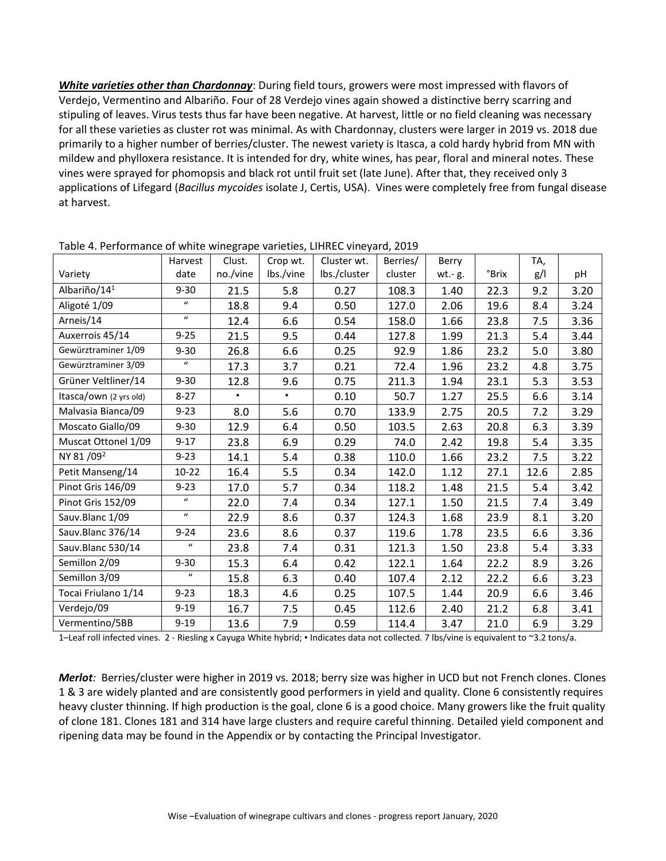*White varieties other than Chardonnay*: During field tours, growers were most impressed with flavors of Verdejo, Vermentino and Albariño. Four of 28 Verdejo vines again showed a distinctive berry scarring and stipuling of leaves. Virus tests thus far have been negative. At harvest, little or no field cleaning was necessary for all these varieties as cluster rot was minimal. As with Chardonnay, clusters were larger in 2019 vs. 2018 due primarily to a higher number of berries/cluster. The newest variety is Itasca, a cold hardy hybrid from MN with mildew and phylloxera resistance. It is intended for dry, white wines, has pear, floral and mineral notes. These vines were sprayed for phomopsis and black rot until fruit set (late June). After that, they received only 3 applications of Lifegard (*Bacillus mycoides* isolate J, Certis, USA). Vines were completely free from fungal disease at harvest.

|                          | Harvest          | . .<br>Clust. | Crop wt.  | Cluster wt.  | Berries/ | Berry  |             | TA,  |      |
|--------------------------|------------------|---------------|-----------|--------------|----------|--------|-------------|------|------|
| Variety                  | date             | no./vine      | lbs./vine | lbs./cluster | cluster  | wt.-g. | <b>Brix</b> | g/l  | pH   |
| Albariño/14 <sup>1</sup> | $9 - 30$         | 21.5          | 5.8       | 0.27         | 108.3    | 1.40   | 22.3        | 9.2  | 3.20 |
| Aligoté 1/09             | $\boldsymbol{u}$ | 18.8          | 9.4       | 0.50         | 127.0    | 2.06   | 19.6        | 8.4  | 3.24 |
| Arneis/14                | $\boldsymbol{u}$ | 12.4          | 6.6       | 0.54         | 158.0    | 1.66   | 23.8        | 7.5  | 3.36 |
| Auxerrois 45/14          | $9 - 25$         | 21.5          | 9.5       | 0.44         | 127.8    | 1.99   | 21.3        | 5.4  | 3.44 |
| Gewürztraminer 1/09      | $9 - 30$         | 26.8          | 6.6       | 0.25         | 92.9     | 1.86   | 23.2        | 5.0  | 3.80 |
| Gewürztraminer 3/09      | $\boldsymbol{u}$ | 17.3          | 3.7       | 0.21         | 72.4     | 1.96   | 23.2        | 4.8  | 3.75 |
| Grüner Veltliner/14      | $9 - 30$         | 12.8          | 9.6       | 0.75         | 211.3    | 1.94   | 23.1        | 5.3  | 3.53 |
| Itasca/own (2 yrs old)   | $8 - 27$         | ٠             | ٠         | 0.10         | 50.7     | 1.27   | 25.5        | 6.6  | 3.14 |
| Malvasia Bianca/09       | $9 - 23$         | 8.0           | 5.6       | 0.70         | 133.9    | 2.75   | 20.5        | 7.2  | 3.29 |
| Moscato Giallo/09        | $9 - 30$         | 12.9          | 6.4       | 0.50         | 103.5    | 2.63   | 20.8        | 6.3  | 3.39 |
| Muscat Ottonel 1/09      | $9 - 17$         | 23.8          | 6.9       | 0.29         | 74.0     | 2.42   | 19.8        | 5.4  | 3.35 |
| NY 81/09 <sup>2</sup>    | $9 - 23$         | 14.1          | 5.4       | 0.38         | 110.0    | 1.66   | 23.2        | 7.5  | 3.22 |
| Petit Manseng/14         | $10-22$          | 16.4          | 5.5       | 0.34         | 142.0    | 1.12   | 27.1        | 12.6 | 2.85 |
| Pinot Gris 146/09        | $9 - 23$         | 17.0          | 5.7       | 0.34         | 118.2    | 1.48   | 21.5        | 5.4  | 3.42 |
| Pinot Gris 152/09        | $\boldsymbol{u}$ | 22.0          | 7.4       | 0.34         | 127.1    | 1.50   | 21.5        | 7.4  | 3.49 |
| Sauv.Blanc 1/09          | $\boldsymbol{u}$ | 22.9          | 8.6       | 0.37         | 124.3    | 1.68   | 23.9        | 8.1  | 3.20 |
| Sauv.Blanc 376/14        | $9 - 24$         | 23.6          | 8.6       | 0.37         | 119.6    | 1.78   | 23.5        | 6.6  | 3.36 |
| Sauv.Blanc 530/14        | $\boldsymbol{u}$ | 23.8          | 7.4       | 0.31         | 121.3    | 1.50   | 23.8        | 5.4  | 3.33 |
| Semillon 2/09            | $9 - 30$         | 15.3          | 6.4       | 0.42         | 122.1    | 1.64   | 22.2        | 8.9  | 3.26 |
| Semillon 3/09            | $\boldsymbol{u}$ | 15.8          | 6.3       | 0.40         | 107.4    | 2.12   | 22.2        | 6.6  | 3.23 |
| Tocai Friulano 1/14      | $9 - 23$         | 18.3          | 4.6       | 0.25         | 107.5    | 1.44   | 20.9        | 6.6  | 3.46 |
| Verdejo/09               | $9 - 19$         | 16.7          | 7.5       | 0.45         | 112.6    | 2.40   | 21.2        | 6.8  | 3.41 |
| Vermentino/5BB           | $9 - 19$         | 13.6          | 7.9       | 0.59         | 114.4    | 3.47   | 21.0        | 6.9  | 3.29 |

Table 4. Performance of white winegrape varieties, LIHREC vineyard, 2019

1–Leaf roll infected vines. 2 - Riesling x Cayuga White hybrid; ▪ Indicates data not collected. 7 lbs/vine is equivalent to ~3.2 tons/a.

*Merlot:* Berries/cluster were higher in 2019 vs. 2018; berry size was higher in UCD but not French clones. Clones 1 & 3 are widely planted and are consistently good performers in yield and quality. Clone 6 consistently requires heavy cluster thinning. If high production is the goal, clone 6 is a good choice. Many growers like the fruit quality of clone 181. Clones 181 and 314 have large clusters and require careful thinning. Detailed yield component and ripening data may be found in the Appendix or by contacting the Principal Investigator.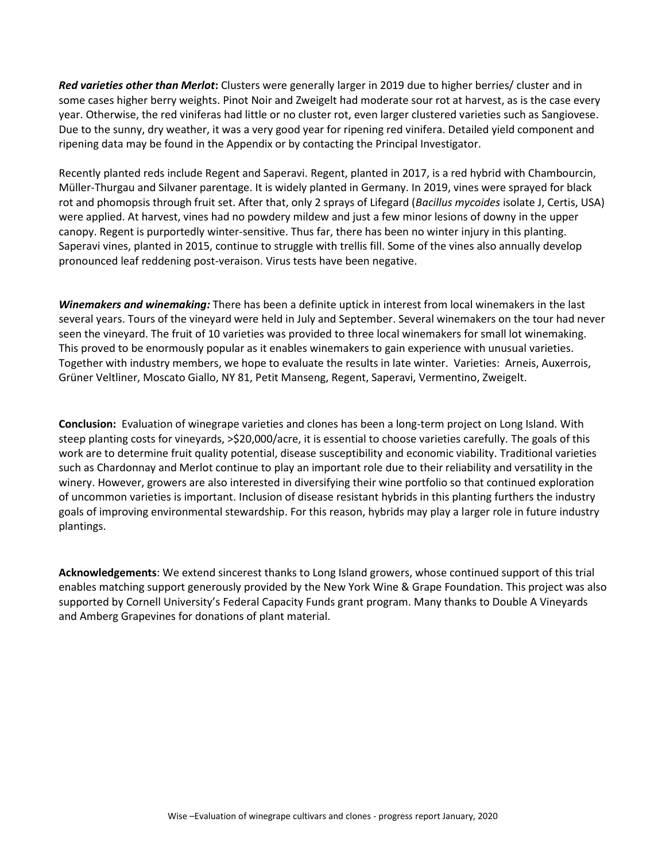*Red varieties other than Merlot***:** Clusters were generally larger in 2019 due to higher berries/ cluster and in some cases higher berry weights. Pinot Noir and Zweigelt had moderate sour rot at harvest, as is the case every year. Otherwise, the red viniferas had little or no cluster rot, even larger clustered varieties such as Sangiovese. Due to the sunny, dry weather, it was a very good year for ripening red vinifera. Detailed yield component and ripening data may be found in the Appendix or by contacting the Principal Investigator.

Recently planted reds include Regent and Saperavi. Regent, planted in 2017, is a red hybrid with Chambourcin, Müller-Thurgau and Silvaner parentage. It is widely planted in Germany. In 2019, vines were sprayed for black rot and phomopsis through fruit set. After that, only 2 sprays of Lifegard (*Bacillus mycoides* isolate J, Certis, USA) were applied. At harvest, vines had no powdery mildew and just a few minor lesions of downy in the upper canopy. Regent is purportedly winter-sensitive. Thus far, there has been no winter injury in this planting. Saperavi vines, planted in 2015, continue to struggle with trellis fill. Some of the vines also annually develop pronounced leaf reddening post-veraison. Virus tests have been negative.

*Winemakers and winemaking:* There has been a definite uptick in interest from local winemakers in the last several years. Tours of the vineyard were held in July and September. Several winemakers on the tour had never seen the vineyard. The fruit of 10 varieties was provided to three local winemakers for small lot winemaking. This proved to be enormously popular as it enables winemakers to gain experience with unusual varieties. Together with industry members, we hope to evaluate the results in late winter. Varieties: Arneis, Auxerrois, Grüner Veltliner, Moscato Giallo, NY 81, Petit Manseng, Regent, Saperavi, Vermentino, Zweigelt.

**Conclusion:** Evaluation of winegrape varieties and clones has been a long-term project on Long Island. With steep planting costs for vineyards, >\$20,000/acre, it is essential to choose varieties carefully. The goals of this work are to determine fruit quality potential, disease susceptibility and economic viability. Traditional varieties such as Chardonnay and Merlot continue to play an important role due to their reliability and versatility in the winery. However, growers are also interested in diversifying their wine portfolio so that continued exploration of uncommon varieties is important. Inclusion of disease resistant hybrids in this planting furthers the industry goals of improving environmental stewardship. For this reason, hybrids may play a larger role in future industry plantings.

**Acknowledgements**: We extend sincerest thanks to Long Island growers, whose continued support of this trial enables matching support generously provided by the New York Wine & Grape Foundation. This project was also supported by Cornell University's Federal Capacity Funds grant program. Many thanks to Double A Vineyards and Amberg Grapevines for donations of plant material.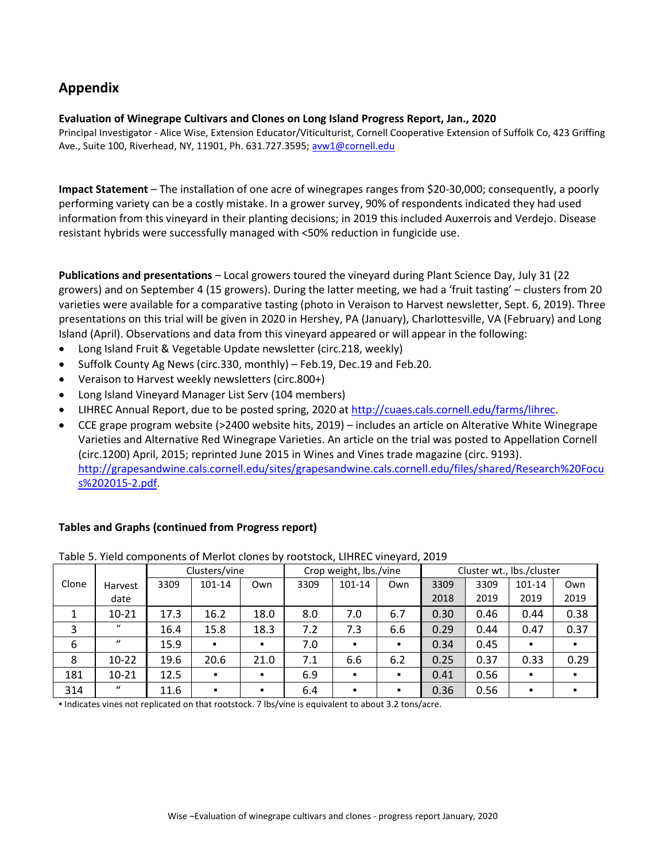# **Appendix**

## **Evaluation of Winegrape Cultivars and Clones on Long Island Progress Report, Jan., 2020**

Principal Investigator - Alice Wise, Extension Educator/Viticulturist, Cornell Cooperative Extension of Suffolk Co, 423 Griffing Ave., Suite 100, Riverhead, NY, 11901, Ph. 631.727.3595; [avw1@cornell.edu](mailto:avw1@cornell.edu)

**Impact Statement** – The installation of one acre of winegrapes ranges from \$20-30,000; consequently, a poorly performing variety can be a costly mistake. In a grower survey, 90% of respondents indicated they had used information from this vineyard in their planting decisions; in 2019 this included Auxerrois and Verdejo. Disease resistant hybrids were successfully managed with <50% reduction in fungicide use.

**Publications and presentations** – Local growers toured the vineyard during Plant Science Day, July 31 (22 growers) and on September 4 (15 growers). During the latter meeting, we had a 'fruit tasting' – clusters from 20 varieties were available for a comparative tasting (photo in Veraison to Harvest newsletter, Sept. 6, 2019). Three presentations on this trial will be given in 2020 in Hershey, PA (January), Charlottesville, VA (February) and Long Island (April). Observations and data from this vineyard appeared or will appear in the following:

- Long Island Fruit & Vegetable Update newsletter (circ.218, weekly)
- Suffolk County Ag News (circ.330, monthly) Feb.19, Dec.19 and Feb.20.
- Veraison to Harvest weekly newsletters (circ.800+)
- Long Island Vineyard Manager List Serv (104 members)
- LIHREC Annual Report, due to be posted spring, 2020 at [http://cuaes.cals.cornell.edu/farms/lihrec.](http://cuaes.cals.cornell.edu/farms/lihrec)
- CCE grape program website (>2400 website hits, 2019) includes an article on Alterative White Winegrape Varieties and Alternative Red Winegrape Varieties. An article on the trial was posted to Appellation Cornell (circ.1200) April, 2015; reprinted June 2015 in Wines and Vines trade magazine (circ. 9193). [http://grapesandwine.cals.cornell.edu/sites/grapesandwine.cals.cornell.edu/files/shared/Research%20Focu](http://grapesandwine.cals.cornell.edu/sites/grapesandwine.cals.cornell.edu/files/shared/Research%20Focus%202015-2.pdf) [s%202015-2.pdf.](http://grapesandwine.cals.cornell.edu/sites/grapesandwine.cals.cornell.edu/files/shared/Research%20Focus%202015-2.pdf)

|       |              |      | Clusters/vine  |                |      | Crop weight, lbs./vine |                |      |      | Cluster wt., lbs./cluster |                |
|-------|--------------|------|----------------|----------------|------|------------------------|----------------|------|------|---------------------------|----------------|
| Clone | Harvest      | 3309 | 101-14         | Own            | 3309 | 101-14                 | Own            | 3309 | 3309 | 101-14                    | Own            |
|       | date         |      |                |                |      |                        |                | 2018 | 2019 | 2019                      | 2019           |
|       | 10-21        | 17.3 | 16.2           | 18.0           | 8.0  | 7.0                    | 6.7            | 0.30 | 0.46 | 0.44                      | 0.38           |
| 3     | $\mathbf{u}$ | 16.4 | 15.8           | 18.3           | 7.2  | 7.3                    | 6.6            | 0.29 | 0.44 | 0.47                      | 0.37           |
| 6     | $\bf{u}$     | 15.9 | $\blacksquare$ | $\blacksquare$ | 7.0  | $\blacksquare$         | $\blacksquare$ | 0.34 | 0.45 | $\blacksquare$            | $\blacksquare$ |
| 8     | $10 - 22$    | 19.6 | 20.6           | 21.0           | 7.1  | 6.6                    | 6.2            | 0.25 | 0.37 | 0.33                      | 0.29           |
| 181   | 10-21        | 12.5 | $\blacksquare$ | $\blacksquare$ | 6.9  | $\blacksquare$         | $\blacksquare$ | 0.41 | 0.56 | $\blacksquare$            | $\blacksquare$ |
| 314   | $\bf{u}$     | 11.6 | $\blacksquare$ | $\blacksquare$ | 6.4  | $\blacksquare$         | $\blacksquare$ | 0.36 | 0.56 | $\blacksquare$            | $\blacksquare$ |

## **Tables and Graphs (continued from Progress report)**

Table 5. Yield components of Merlot clones by rootstock, LIHREC vineyard, 2019

▪ Indicates vines not replicated on that rootstock. 7 lbs/vine is equivalent to about 3.2 tons/acre.